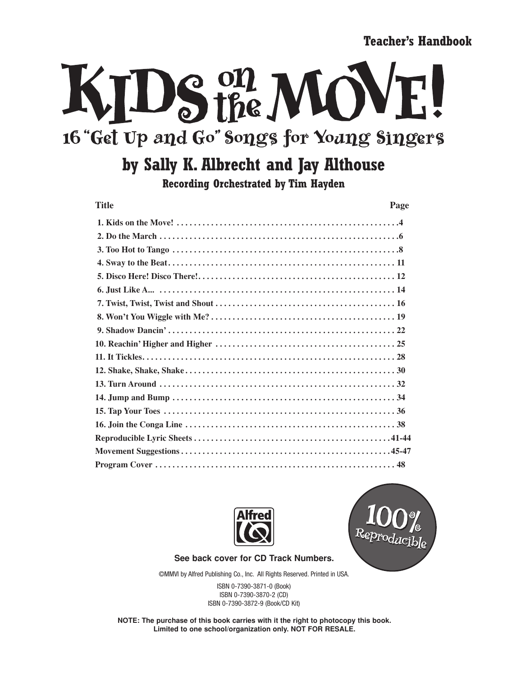**Teacher's Handbook**

## VIDS the MO 16 "Get Up and Go" Songs for Young Singers

## **by Sally K. Albrecht and Jay Althouse**

**Recording Orchestrated by Tim Hayden**

| <b>Title</b> | Page |
|--------------|------|
|              |      |
|              |      |
|              |      |
|              |      |
|              |      |
|              |      |
|              |      |
|              |      |
|              |      |
|              |      |
|              |      |
|              |      |
|              |      |
|              |      |
|              |      |
|              |      |
|              |      |
|              |      |
|              |      |





**See back cover for CD Track Numbers.**

©MMVI by Alfred Publishing Co., Inc. All Rights Reserved. Printed in USA.

ISBN 0-7390-3871-0 (Book) ISBN 0-7390-3870-2 (CD) ISBN 0-7390-3872-9 (Book/CD Kit)

**NOTE: The purchase of this book carries with it the right to photocopy this book. Limited to one school/organization only. NOT FOR RESALE.**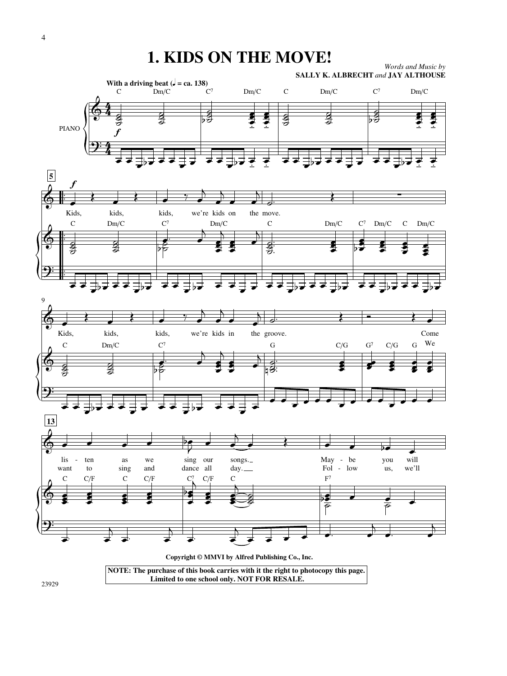## **1. KIDS ON THE MOVE!**







23929